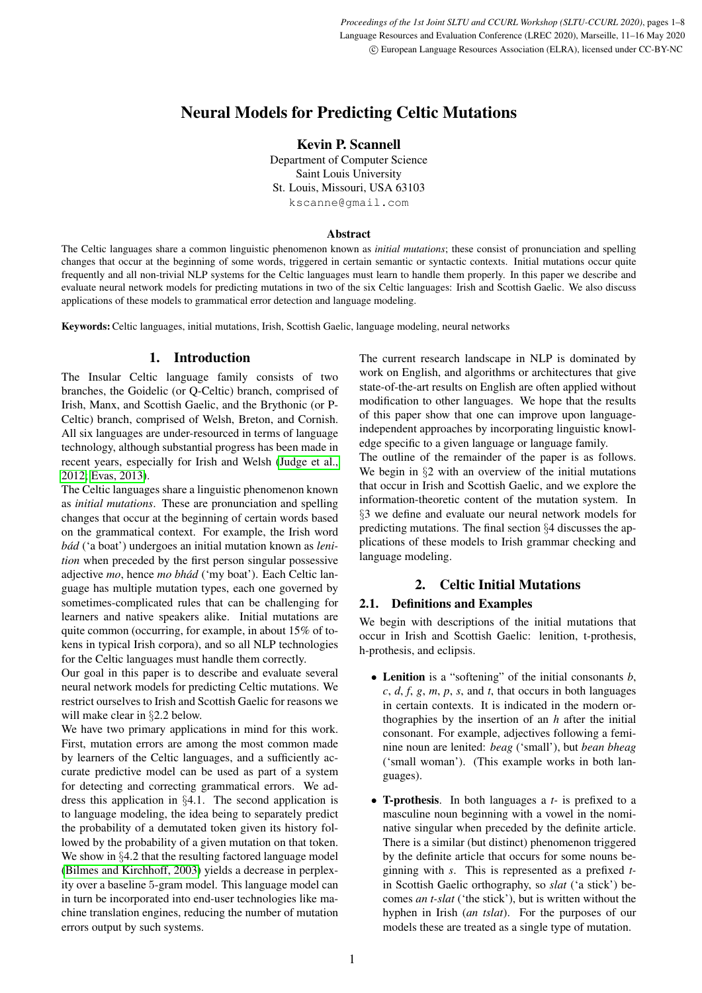# Neural Models for Predicting Celtic Mutations

Kevin P. Scannell

Department of Computer Science Saint Louis University St. Louis, Missouri, USA 63103 kscanne@gmail.com

### Abstract

The Celtic languages share a common linguistic phenomenon known as *initial mutations*; these consist of pronunciation and spelling changes that occur at the beginning of some words, triggered in certain semantic or syntactic contexts. Initial mutations occur quite frequently and all non-trivial NLP systems for the Celtic languages must learn to handle them properly. In this paper we describe and evaluate neural network models for predicting mutations in two of the six Celtic languages: Irish and Scottish Gaelic. We also discuss applications of these models to grammatical error detection and language modeling.

Keywords:Celtic languages, initial mutations, Irish, Scottish Gaelic, language modeling, neural networks

# 1. Introduction

The Insular Celtic language family consists of two branches, the Goidelic (or Q-Celtic) branch, comprised of Irish, Manx, and Scottish Gaelic, and the Brythonic (or P-Celtic) branch, comprised of Welsh, Breton, and Cornish. All six languages are under-resourced in terms of language technology, although substantial progress has been made in recent years, especially for Irish and Welsh [\(Judge et al.,](#page-7-0) [2012;](#page-7-0) [Evas, 2013\)](#page-7-1).

The Celtic languages share a linguistic phenomenon known as *initial mutations*. These are pronunciation and spelling changes that occur at the beginning of certain words based on the grammatical context. For example, the Irish word bád ('a boat') undergoes an initial mutation known as *lenition* when preceded by the first person singular possessive adjective *mo*, hence *mo bhád* ('my boat'). Each Celtic language has multiple mutation types, each one governed by sometimes-complicated rules that can be challenging for learners and native speakers alike. Initial mutations are quite common (occurring, for example, in about 15% of tokens in typical Irish corpora), and so all NLP technologies for the Celtic languages must handle them correctly.

Our goal in this paper is to describe and evaluate several neural network models for predicting Celtic mutations. We restrict ourselves to Irish and Scottish Gaelic for reasons we will make clear in §2.2 below.

We have two primary applications in mind for this work. First, mutation errors are among the most common made by learners of the Celtic languages, and a sufficiently accurate predictive model can be used as part of a system for detecting and correcting grammatical errors. We address this application in §4.1. The second application is to language modeling, the idea being to separately predict the probability of a demutated token given its history followed by the probability of a given mutation on that token. We show in §4.2 that the resulting factored language model [\(Bilmes and Kirchhoff, 2003\)](#page-7-2) yields a decrease in perplexity over a baseline 5-gram model. This language model can in turn be incorporated into end-user technologies like machine translation engines, reducing the number of mutation errors output by such systems.

The current research landscape in NLP is dominated by work on English, and algorithms or architectures that give state-of-the-art results on English are often applied without modification to other languages. We hope that the results of this paper show that one can improve upon languageindependent approaches by incorporating linguistic knowledge specific to a given language or language family.

The outline of the remainder of the paper is as follows. We begin in  $\S2$  with an overview of the initial mutations that occur in Irish and Scottish Gaelic, and we explore the information-theoretic content of the mutation system. In §3 we define and evaluate our neural network models for predicting mutations. The final section §4 discusses the applications of these models to Irish grammar checking and language modeling.

# 2. Celtic Initial Mutations

# 2.1. Definitions and Examples

We begin with descriptions of the initial mutations that occur in Irish and Scottish Gaelic: lenition, t-prothesis, h-prothesis, and eclipsis.

- Lenition is a "softening" of the initial consonants *b*, *c*, *d*, *f*, *g*, *m*, *p*, *s*, and *t*, that occurs in both languages in certain contexts. It is indicated in the modern orthographies by the insertion of an *h* after the initial consonant. For example, adjectives following a feminine noun are lenited: *beag* ('small'), but *bean bheag* ('small woman'). (This example works in both languages).
- T-prothesis. In both languages a *t-* is prefixed to a masculine noun beginning with a vowel in the nominative singular when preceded by the definite article. There is a similar (but distinct) phenomenon triggered by the definite article that occurs for some nouns beginning with *s*. This is represented as a prefixed *t*in Scottish Gaelic orthography, so *slat* ('a stick') becomes *an t-slat* ('the stick'), but is written without the hyphen in Irish (*an tslat*). For the purposes of our models these are treated as a single type of mutation.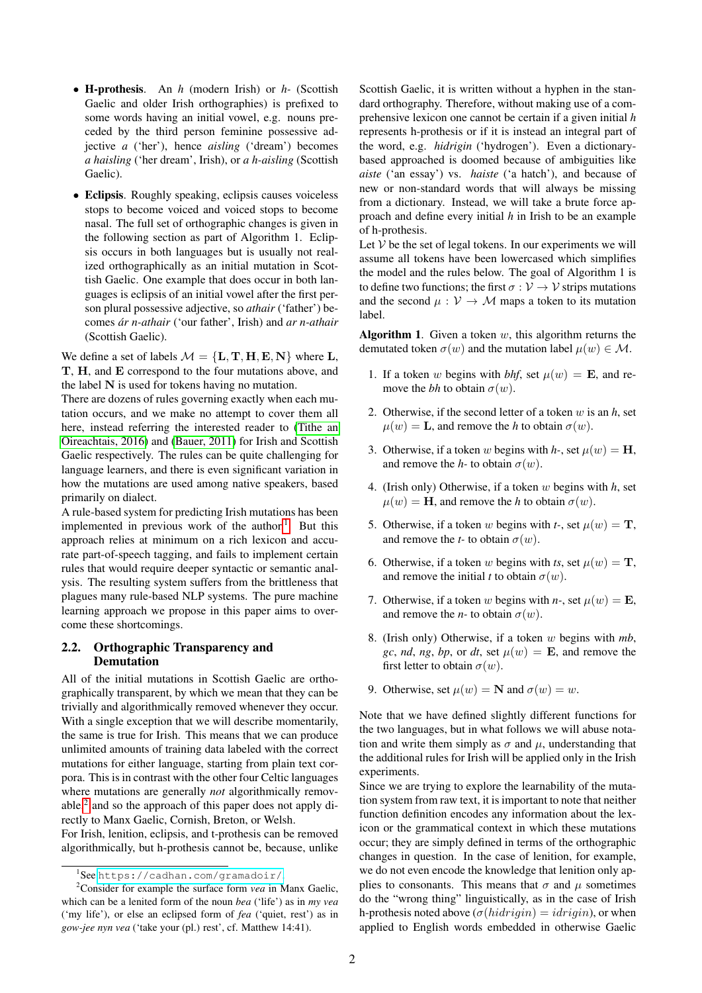- H-prothesis. An *h* (modern Irish) or *h-* (Scottish Gaelic and older Irish orthographies) is prefixed to some words having an initial vowel, e.g. nouns preceded by the third person feminine possessive adjective *a* ('her'), hence *aisling* ('dream') becomes *a haisling* ('her dream', Irish), or *a h-aisling* (Scottish Gaelic).
- Eclipsis. Roughly speaking, eclipsis causes voiceless stops to become voiced and voiced stops to become nasal. The full set of orthographic changes is given in the following section as part of Algorithm 1. Eclipsis occurs in both languages but is usually not realized orthographically as an initial mutation in Scottish Gaelic. One example that does occur in both languages is eclipsis of an initial vowel after the first person plural possessive adjective, so *athair* ('father') becomes *ar n-athair ´* ('our father', Irish) and *ar n-athair* (Scottish Gaelic).

We define a set of labels  $\mathcal{M} = \{L, T, H, E, N\}$  where L, T, H, and E correspond to the four mutations above, and the label N is used for tokens having no mutation.

There are dozens of rules governing exactly when each mutation occurs, and we make no attempt to cover them all here, instead referring the interested reader to [\(Tithe an](#page-7-3) [Oireachtais, 2016\)](#page-7-3) and [\(Bauer, 2011\)](#page-7-4) for Irish and Scottish Gaelic respectively. The rules can be quite challenging for language learners, and there is even significant variation in how the mutations are used among native speakers, based primarily on dialect.

A rule-based system for predicting Irish mutations has been implemented in previous work of the author.<sup>[1](#page-1-0)</sup> But this approach relies at minimum on a rich lexicon and accurate part-of-speech tagging, and fails to implement certain rules that would require deeper syntactic or semantic analysis. The resulting system suffers from the brittleness that plagues many rule-based NLP systems. The pure machine learning approach we propose in this paper aims to overcome these shortcomings.

### 2.2. Orthographic Transparency and Demutation

All of the initial mutations in Scottish Gaelic are orthographically transparent, by which we mean that they can be trivially and algorithmically removed whenever they occur. With a single exception that we will describe momentarily, the same is true for Irish. This means that we can produce unlimited amounts of training data labeled with the correct mutations for either language, starting from plain text corpora. This is in contrast with the other four Celtic languages where mutations are generally *not* algorithmically remov-able,<sup>[2](#page-1-1)</sup> and so the approach of this paper does not apply directly to Manx Gaelic, Cornish, Breton, or Welsh.

For Irish, lenition, eclipsis, and t-prothesis can be removed algorithmically, but h-prothesis cannot be, because, unlike Scottish Gaelic, it is written without a hyphen in the standard orthography. Therefore, without making use of a comprehensive lexicon one cannot be certain if a given initial *h* represents h-prothesis or if it is instead an integral part of the word, e.g. *hidrigin* ('hydrogen'). Even a dictionarybased approached is doomed because of ambiguities like *aiste* ('an essay') vs. *haiste* ('a hatch'), and because of new or non-standard words that will always be missing from a dictionary. Instead, we will take a brute force approach and define every initial *h* in Irish to be an example of h-prothesis.

Let  $V$  be the set of legal tokens. In our experiments we will assume all tokens have been lowercased which simplifies the model and the rules below. The goal of Algorithm 1 is to define two functions; the first  $\sigma : \mathcal{V} \to \mathcal{V}$  strips mutations and the second  $\mu : V \to M$  maps a token to its mutation label.

**Algorithm 1.** Given a token  $w$ , this algorithm returns the demutated token  $\sigma(w)$  and the mutation label  $\mu(w) \in \mathcal{M}$ .

- 1. If a token w begins with *bhf*, set  $\mu(w) = \mathbf{E}$ , and remove the *bh* to obtain  $\sigma(w)$ .
- 2. Otherwise, if the second letter of a token w is an *h*, set  $\mu(w) = \mathbf{L}$ , and remove the *h* to obtain  $\sigma(w)$ .
- 3. Otherwise, if a token w begins with *h*-, set  $\mu(w) = H$ , and remove the *h*- to obtain  $\sigma(w)$ .
- 4. (Irish only) Otherwise, if a token w begins with *h*, set  $\mu(w) = \mathbf{H}$ , and remove the *h* to obtain  $\sigma(w)$ .
- 5. Otherwise, if a token w begins with *t*-, set  $\mu(w) = \mathbf{T}$ , and remove the *t*- to obtain  $\sigma(w)$ .
- 6. Otherwise, if a token w begins with *ts*, set  $\mu(w) = \mathbf{T}$ , and remove the initial *t* to obtain  $\sigma(w)$ .
- 7. Otherwise, if a token w begins with *n*-, set  $\mu(w) = \mathbf{E}$ , and remove the *n*- to obtain  $\sigma(w)$ .
- 8. (Irish only) Otherwise, if a token w begins with *mb*, *gc*, *nd*, *ng*, *bp*, or *dt*, set  $\mu(w) = \mathbf{E}$ , and remove the first letter to obtain  $\sigma(w)$ .
- 9. Otherwise, set  $\mu(w) = \mathbf{N}$  and  $\sigma(w) = w$ .

Note that we have defined slightly different functions for the two languages, but in what follows we will abuse notation and write them simply as  $\sigma$  and  $\mu$ , understanding that the additional rules for Irish will be applied only in the Irish experiments.

Since we are trying to explore the learnability of the mutation system from raw text, it is important to note that neither function definition encodes any information about the lexicon or the grammatical context in which these mutations occur; they are simply defined in terms of the orthographic changes in question. In the case of lenition, for example, we do not even encode the knowledge that lenition only applies to consonants. This means that  $\sigma$  and  $\mu$  sometimes do the "wrong thing" linguistically, as in the case of Irish h-prothesis noted above  $(\sigma(hidriqin) = idriqin)$ , or when applied to English words embedded in otherwise Gaelic

<span id="page-1-1"></span><span id="page-1-0"></span><sup>1</sup> See <https://cadhan.com/gramadoir/>.

<sup>2</sup>Consider for example the surface form *vea* in Manx Gaelic, which can be a lenited form of the noun *bea* ('life') as in *my vea* ('my life'), or else an eclipsed form of *fea* ('quiet, rest') as in *gow-jee nyn vea* ('take your (pl.) rest', cf. Matthew 14:41).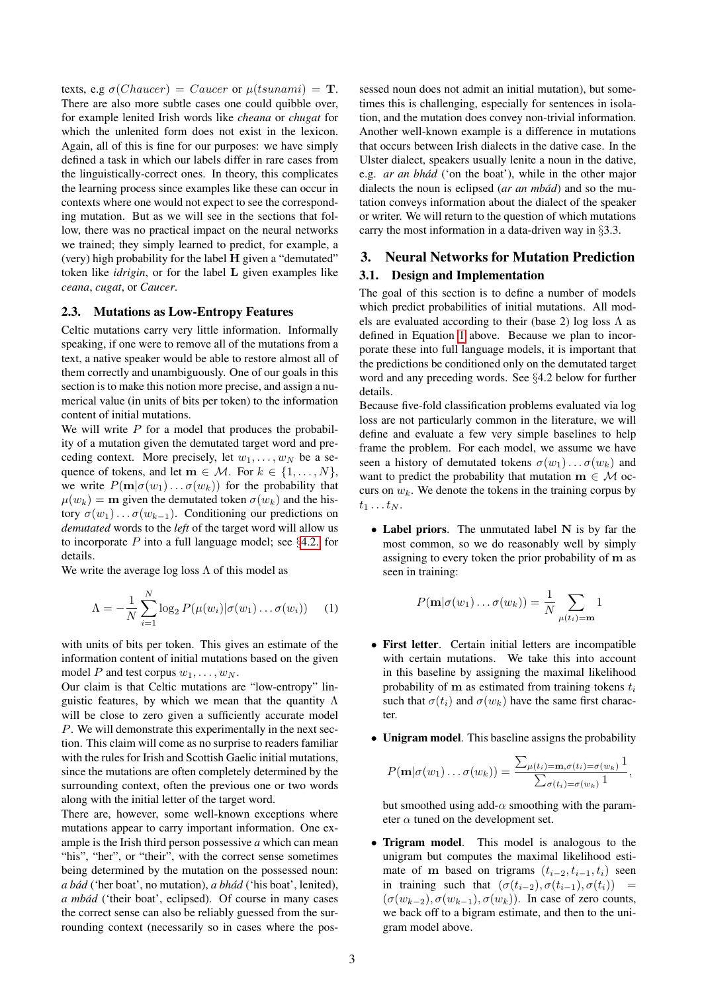texts, e.g  $\sigma(Chaucer) = Caucer$  or  $\mu(tsunami) =$  **T**. There are also more subtle cases one could quibble over, for example lenited Irish words like *cheana* or *chugat* for which the unlenited form does not exist in the lexicon. Again, all of this is fine for our purposes: we have simply defined a task in which our labels differ in rare cases from the linguistically-correct ones. In theory, this complicates the learning process since examples like these can occur in contexts where one would not expect to see the corresponding mutation. But as we will see in the sections that follow, there was no practical impact on the neural networks we trained; they simply learned to predict, for example, a (very) high probability for the label H given a "demutated" token like *idrigin*, or for the label L given examples like *ceana*, *cugat*, or *Caucer*.

#### 2.3. Mutations as Low-Entropy Features

Celtic mutations carry very little information. Informally speaking, if one were to remove all of the mutations from a text, a native speaker would be able to restore almost all of them correctly and unambiguously. One of our goals in this section is to make this notion more precise, and assign a numerical value (in units of bits per token) to the information content of initial mutations.

We will write  $P$  for a model that produces the probability of a mutation given the demutated target word and preceding context. More precisely, let  $w_1, \ldots, w_N$  be a sequence of tokens, and let  $\mathbf{m} \in \mathcal{M}$ . For  $k \in \{1, \ldots, N\}$ , we write  $P(\mathbf{m}|\sigma(w_1)\dots\sigma(w_k))$  for the probability that  $\mu(w_k) = \mathbf{m}$  given the demutated token  $\sigma(w_k)$  and the history  $\sigma(w_1)\dots\sigma(w_{k-1})$ . Conditioning our predictions on *demutated* words to the *left* of the target word will allow us to incorporate  $P$  into a full language model; see §[4.2.](#page-6-0) for details.

We write the average log loss  $\Lambda$  of this model as

<span id="page-2-0"></span>
$$
\Lambda = -\frac{1}{N} \sum_{i=1}^{N} \log_2 P(\mu(w_i) | \sigma(w_1) \dots \sigma(w_i)) \quad (1)
$$

with units of bits per token. This gives an estimate of the information content of initial mutations based on the given model P and test corpus  $w_1, \ldots, w_N$ .

Our claim is that Celtic mutations are "low-entropy" linguistic features, by which we mean that the quantity  $\Lambda$ will be close to zero given a sufficiently accurate model P. We will demonstrate this experimentally in the next section. This claim will come as no surprise to readers familiar with the rules for Irish and Scottish Gaelic initial mutations, since the mutations are often completely determined by the surrounding context, often the previous one or two words along with the initial letter of the target word.

There are, however, some well-known exceptions where mutations appear to carry important information. One example is the Irish third person possessive *a* which can mean "his", "her", or "their", with the correct sense sometimes being determined by the mutation on the possessed noun: *a bád* ('her boat', no mutation), *a bhád* ('his boat', lenited), *a mbád* ('their boat', eclipsed). Of course in many cases the correct sense can also be reliably guessed from the surrounding context (necessarily so in cases where the possessed noun does not admit an initial mutation), but sometimes this is challenging, especially for sentences in isolation, and the mutation does convey non-trivial information. Another well-known example is a difference in mutations that occurs between Irish dialects in the dative case. In the Ulster dialect, speakers usually lenite a noun in the dative, e.g. *ar an bhád* ('on the boat'), while in the other major dialects the noun is eclipsed (*ar an mbád*) and so the mutation conveys information about the dialect of the speaker or writer. We will return to the question of which mutations carry the most information in a data-driven way in §3.3.

# 3. Neural Networks for Mutation Prediction 3.1. Design and Implementation

The goal of this section is to define a number of models which predict probabilities of initial mutations. All models are evaluated according to their (base 2) log loss  $\Lambda$  as defined in Equation [1](#page-2-0) above. Because we plan to incorporate these into full language models, it is important that the predictions be conditioned only on the demutated target word and any preceding words. See §4.2 below for further details.

Because five-fold classification problems evaluated via log loss are not particularly common in the literature, we will define and evaluate a few very simple baselines to help frame the problem. For each model, we assume we have seen a history of demutated tokens  $\sigma(w_1) \dots \sigma(w_k)$  and want to predict the probability that mutation  $m \in \mathcal{M}$  occurs on  $w_k$ . We denote the tokens in the training corpus by  $t_1 \ldots t_N$ .

• Label priors. The unmutated label N is by far the most common, so we do reasonably well by simply assigning to every token the prior probability of m as seen in training:

$$
P(\mathbf{m}|\sigma(w_1)\dots\sigma(w_k))=\frac{1}{N}\sum_{\mu(t_i)=\mathbf{m}}1
$$

- First letter. Certain initial letters are incompatible with certain mutations. We take this into account in this baseline by assigning the maximal likelihood probability of m as estimated from training tokens  $t_i$ such that  $\sigma(t_i)$  and  $\sigma(w_k)$  have the same first character.
- Unigram model. This baseline assigns the probability

$$
P(\mathbf{m}|\sigma(w_1)\dots\sigma(w_k))=\frac{\sum_{\mu(t_i)=\mathbf{m},\sigma(t_i)=\sigma(w_k)}1}{\sum_{\sigma(t_i)=\sigma(w_k)}1},
$$

but smoothed using add- $\alpha$  smoothing with the parameter  $\alpha$  tuned on the development set.

• Trigram model. This model is analogous to the unigram but computes the maximal likelihood estimate of m based on trigrams  $(t_{i-2}, t_{i-1}, t_i)$  seen in training such that  $(\sigma(t_{i-2}), \sigma(t_{i-1}), \sigma(t_i)) =$  $(\sigma(w_{k-2}), \sigma(w_{k-1}), \sigma(w_k))$ . In case of zero counts, we back off to a bigram estimate, and then to the unigram model above.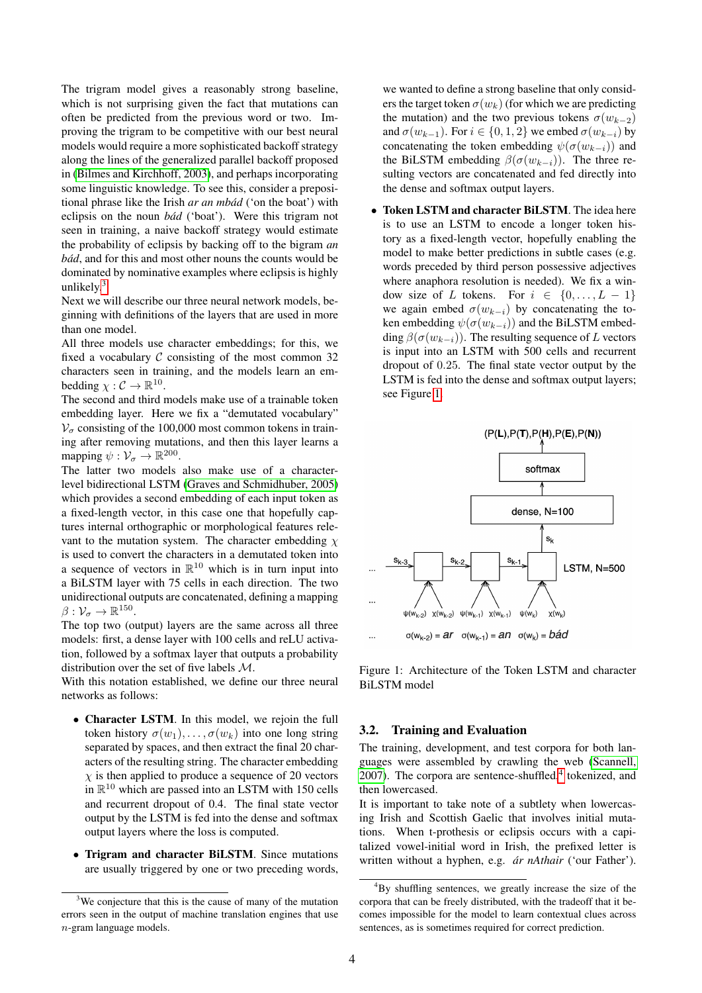The trigram model gives a reasonably strong baseline, which is not surprising given the fact that mutations can often be predicted from the previous word or two. Improving the trigram to be competitive with our best neural models would require a more sophisticated backoff strategy along the lines of the generalized parallel backoff proposed in [\(Bilmes and Kirchhoff, 2003\)](#page-7-2), and perhaps incorporating some linguistic knowledge. To see this, consider a prepositional phrase like the Irish *ar an mbád* ('on the boat') with eclipsis on the noun *bád* ('boat'). Were this trigram not seen in training, a naive backoff strategy would estimate the probability of eclipsis by backing off to the bigram *an bád*, and for this and most other nouns the counts would be dominated by nominative examples where eclipsis is highly unlikely.<sup>[3](#page-3-0)</sup>

Next we will describe our three neural network models, beginning with definitions of the layers that are used in more than one model.

All three models use character embeddings; for this, we fixed a vocabulary  $C$  consisting of the most common 32 characters seen in training, and the models learn an embedding  $\chi : \mathcal{C} \to \mathbb{R}^{10}$ .

The second and third models make use of a trainable token embedding layer. Here we fix a "demutated vocabulary"  $V_{\sigma}$  consisting of the 100,000 most common tokens in training after removing mutations, and then this layer learns a mapping  $\psi : \mathcal{V}_\sigma \to \mathbb{R}^{200}$ .

The latter two models also make use of a characterlevel bidirectional LSTM [\(Graves and Schmidhuber, 2005\)](#page-7-5) which provides a second embedding of each input token as a fixed-length vector, in this case one that hopefully captures internal orthographic or morphological features relevant to the mutation system. The character embedding  $\chi$ is used to convert the characters in a demutated token into a sequence of vectors in  $\mathbb{R}^{10}$  which is in turn input into a BiLSTM layer with 75 cells in each direction. The two unidirectional outputs are concatenated, defining a mapping  $\beta: \mathcal{V}_{\sigma} \to \mathbb{R}^{150}.$ 

The top two (output) layers are the same across all three models: first, a dense layer with 100 cells and reLU activation, followed by a softmax layer that outputs a probability distribution over the set of five labels M.

With this notation established, we define our three neural networks as follows:

- Character LSTM. In this model, we rejoin the full token history  $\sigma(w_1), \ldots, \sigma(w_k)$  into one long string separated by spaces, and then extract the final 20 characters of the resulting string. The character embedding  $\chi$  is then applied to produce a sequence of 20 vectors in  $\mathbb{R}^{10}$  which are passed into an LSTM with 150 cells and recurrent dropout of 0.4. The final state vector output by the LSTM is fed into the dense and softmax output layers where the loss is computed.
- Trigram and character BiLSTM. Since mutations are usually triggered by one or two preceding words,

we wanted to define a strong baseline that only considers the target token  $\sigma(w_k)$  (for which we are predicting the mutation) and the two previous tokens  $\sigma(w_{k-2})$ and  $\sigma(w_{k-1})$ . For  $i \in \{0, 1, 2\}$  we embed  $\sigma(w_{k-i})$  by concatenating the token embedding  $\psi(\sigma(w_{k-i}))$  and the BiLSTM embedding  $\beta(\sigma(w_{k-i}))$ . The three resulting vectors are concatenated and fed directly into the dense and softmax output layers.

• Token LSTM and character BiLSTM. The idea here is to use an LSTM to encode a longer token history as a fixed-length vector, hopefully enabling the model to make better predictions in subtle cases (e.g. words preceded by third person possessive adjectives where anaphora resolution is needed). We fix a window size of L tokens. For  $i \in \{0, \ldots, L-1\}$ we again embed  $\sigma(w_{k-i})$  by concatenating the token embedding  $\psi(\sigma(w_{k-i}))$  and the BiLSTM embedding  $\beta(\sigma(w_{k-i}))$ . The resulting sequence of L vectors is input into an LSTM with 500 cells and recurrent dropout of 0.25. The final state vector output by the LSTM is fed into the dense and softmax output layers; see Figure [1.](#page-3-1)



<span id="page-3-1"></span>Figure 1: Architecture of the Token LSTM and character BiLSTM model

#### 3.2. Training and Evaluation

The training, development, and test corpora for both languages were assembled by crawling the web [\(Scannell,](#page-7-6) [2007\)](#page-7-6). The corpora are sentence-shuffled, $4$  tokenized, and then lowercased.

It is important to take note of a subtlety when lowercasing Irish and Scottish Gaelic that involves initial mutations. When t-prothesis or eclipsis occurs with a capitalized vowel-initial word in Irish, the prefixed letter is written without a hyphen, e.g. *ar nAthair ´* ('our Father').

<span id="page-3-0"></span> $3$ We conjecture that this is the cause of many of the mutation errors seen in the output of machine translation engines that use n-gram language models.

<span id="page-3-2"></span><sup>4</sup>By shuffling sentences, we greatly increase the size of the corpora that can be freely distributed, with the tradeoff that it becomes impossible for the model to learn contextual clues across sentences, as is sometimes required for correct prediction.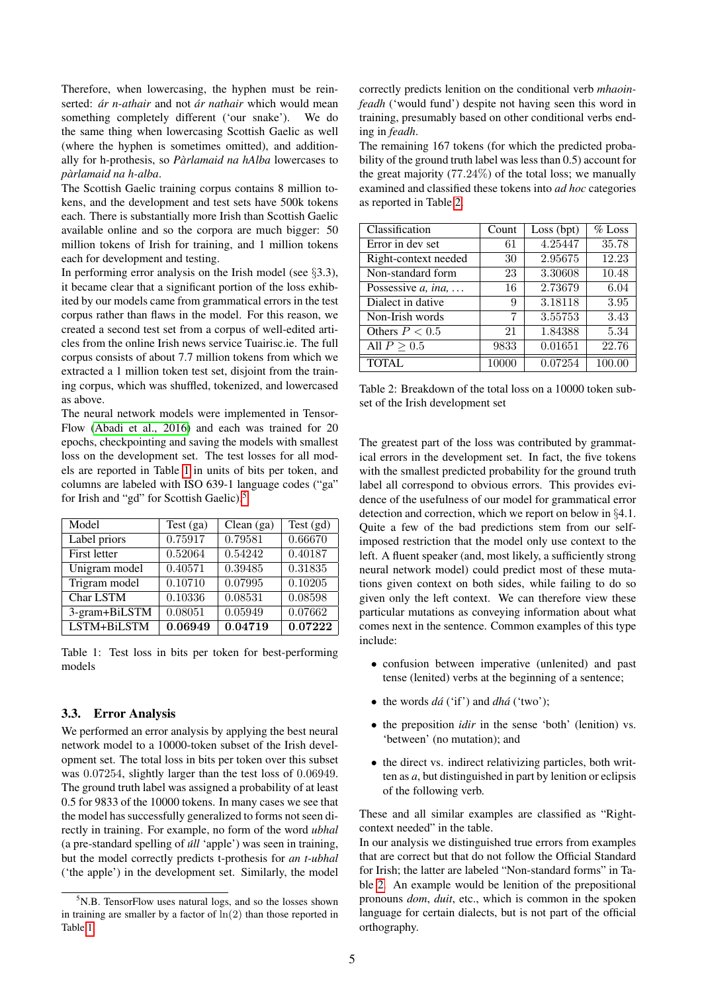Therefore, when lowercasing, the hyphen must be reinserted: *ár n-athair* and not *ár nathair* which would mean something completely different ('our snake'). We do the same thing when lowercasing Scottish Gaelic as well (where the hyphen is sometimes omitted), and additionally for h-prothesis, so *Pàrlamaid na hAlba* lowercases to *parlamaid na h-alba `* .

The Scottish Gaelic training corpus contains 8 million tokens, and the development and test sets have 500k tokens each. There is substantially more Irish than Scottish Gaelic available online and so the corpora are much bigger: 50 million tokens of Irish for training, and 1 million tokens each for development and testing.

In performing error analysis on the Irish model (see §3.3), it became clear that a significant portion of the loss exhibited by our models came from grammatical errors in the test corpus rather than flaws in the model. For this reason, we created a second test set from a corpus of well-edited articles from the online Irish news service Tuairisc.ie. The full corpus consists of about 7.7 million tokens from which we extracted a 1 million token test set, disjoint from the training corpus, which was shuffled, tokenized, and lowercased as above.

The neural network models were implemented in Tensor-Flow [\(Abadi et al., 2016\)](#page-7-7) and each was trained for 20 epochs, checkpointing and saving the models with smallest loss on the development set. The test losses for all models are reported in Table [1](#page-4-0) in units of bits per token, and columns are labeled with ISO 639-1 language codes ("ga" for Irish and "gd" for Scottish Gaelic).<sup>[5](#page-4-1)</sup>

| Model               | Test $(ga)$ | Clean $(ga)$ | Test $(gd)$ |
|---------------------|-------------|--------------|-------------|
| Label priors        | 0.75917     | 0.79581      | 0.66670     |
| <b>First letter</b> | 0.52064     | 0.54242      | 0.40187     |
| Unigram model       | 0.40571     | 0.39485      | 0.31835     |
| Trigram model       | 0.10710     | 0.07995      | 0.10205     |
| Char LSTM           | 0.10336     | 0.08531      | 0.08598     |
| 3-gram+BiLSTM       | 0.08051     | 0.05949      | 0.07662     |
| LSTM+BiLSTM         | 0.06949     | 0.04719      | 0.07222     |

<span id="page-4-0"></span>Table 1: Test loss in bits per token for best-performing models

#### 3.3. Error Analysis

We performed an error analysis by applying the best neural network model to a 10000-token subset of the Irish development set. The total loss in bits per token over this subset was 0.07254, slightly larger than the test loss of 0.06949. The ground truth label was assigned a probability of at least 0.5 for 9833 of the 10000 tokens. In many cases we see that the model has successfully generalized to forms not seen directly in training. For example, no form of the word *ubhal* (a pre-standard spelling of *úll* 'apple') was seen in training, but the model correctly predicts t-prothesis for *an t-ubhal* ('the apple') in the development set. Similarly, the model correctly predicts lenition on the conditional verb *mhaoinfeadh* ('would fund') despite not having seen this word in training, presumably based on other conditional verbs ending in *feadh*.

The remaining 167 tokens (for which the predicted probability of the ground truth label was less than 0.5) account for the great majority (77.24%) of the total loss; we manually examined and classified these tokens into *ad hoc* categories as reported in Table [2.](#page-4-2)

| Classification            | Count | Loss (bpt) | $%$ Loss |
|---------------------------|-------|------------|----------|
| Error in dev set          | 61    | 4.25447    | 35.78    |
| Right-context needed      | 30    | 2.95675    | 12.23    |
| Non-standard form         | 23    | 3.30608    | 10.48    |
| Possessive $a$ , in $a$ , | 16    | 2.73679    | 6.04     |
| Dialect in dative         | 9     | 3.18118    | 3.95     |
| Non-Irish words           | 7     | 3.55753    | 3.43     |
| Others $P < 0.5$          | 21    | 1.84388    | 5.34     |
| All $P > 0.5$             | 9833  | 0.01651    | 22.76    |
| <b>TOTAL</b>              | 10000 | 0.07254    | 100.00   |

<span id="page-4-2"></span>Table 2: Breakdown of the total loss on a 10000 token subset of the Irish development set

The greatest part of the loss was contributed by grammatical errors in the development set. In fact, the five tokens with the smallest predicted probability for the ground truth label all correspond to obvious errors. This provides evidence of the usefulness of our model for grammatical error detection and correction, which we report on below in §4.1. Quite a few of the bad predictions stem from our selfimposed restriction that the model only use context to the left. A fluent speaker (and, most likely, a sufficiently strong neural network model) could predict most of these mutations given context on both sides, while failing to do so given only the left context. We can therefore view these particular mutations as conveying information about what comes next in the sentence. Common examples of this type include:

- confusion between imperative (unlenited) and past tense (lenited) verbs at the beginning of a sentence;
- the words *dá* ('if') and *dhá* ('two');
- the preposition *idir* in the sense 'both' (lenition) vs. 'between' (no mutation); and
- the direct vs. indirect relativizing particles, both written as *a*, but distinguished in part by lenition or eclipsis of the following verb.

These and all similar examples are classified as "Rightcontext needed" in the table.

In our analysis we distinguished true errors from examples that are correct but that do not follow the Official Standard for Irish; the latter are labeled "Non-standard forms" in Table [2.](#page-4-2) An example would be lenition of the prepositional pronouns *dom*, *duit*, etc., which is common in the spoken language for certain dialects, but is not part of the official orthography.

<span id="page-4-1"></span> $5N.B.$  TensorFlow uses natural logs, and so the losses shown in training are smaller by a factor of  $ln(2)$  than those reported in Table [1.](#page-4-0)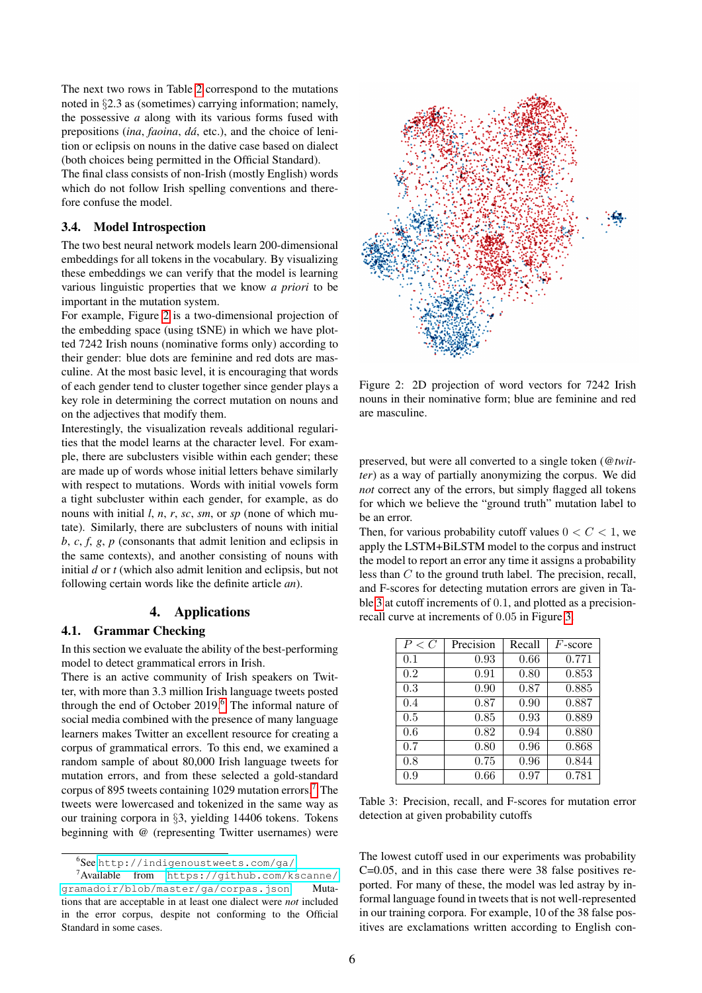The next two rows in Table [2](#page-4-2) correspond to the mutations noted in §2.3 as (sometimes) carrying information; namely, the possessive *a* along with its various forms fused with prepositions (*ina*, *faoina*, *da´*, etc.), and the choice of lenition or eclipsis on nouns in the dative case based on dialect (both choices being permitted in the Official Standard).

The final class consists of non-Irish (mostly English) words which do not follow Irish spelling conventions and therefore confuse the model.

#### 3.4. Model Introspection

The two best neural network models learn 200-dimensional embeddings for all tokens in the vocabulary. By visualizing these embeddings we can verify that the model is learning various linguistic properties that we know *a priori* to be important in the mutation system.

For example, Figure [2](#page-5-0) is a two-dimensional projection of the embedding space (using tSNE) in which we have plotted 7242 Irish nouns (nominative forms only) according to their gender: blue dots are feminine and red dots are masculine. At the most basic level, it is encouraging that words of each gender tend to cluster together since gender plays a key role in determining the correct mutation on nouns and on the adjectives that modify them.

Interestingly, the visualization reveals additional regularities that the model learns at the character level. For example, there are subclusters visible within each gender; these are made up of words whose initial letters behave similarly with respect to mutations. Words with initial vowels form a tight subcluster within each gender, for example, as do nouns with initial *l*, *n*, *r*, *sc*, *sm*, or *sp* (none of which mutate). Similarly, there are subclusters of nouns with initial *b*, *c*, *f*, *g*, *p* (consonants that admit lenition and eclipsis in the same contexts), and another consisting of nouns with initial *d* or *t* (which also admit lenition and eclipsis, but not following certain words like the definite article *an*).

# 4. Applications

### 4.1. Grammar Checking

In this section we evaluate the ability of the best-performing model to detect grammatical errors in Irish.

There is an active community of Irish speakers on Twitter, with more than 3.3 million Irish language tweets posted through the end of October 2019.<sup>[6](#page-5-1)</sup> The informal nature of social media combined with the presence of many language learners makes Twitter an excellent resource for creating a corpus of grammatical errors. To this end, we examined a random sample of about 80,000 Irish language tweets for mutation errors, and from these selected a gold-standard corpus of 895 tweets containing 1029 mutation errors.[7](#page-5-2) The tweets were lowercased and tokenized in the same way as our training corpora in §3, yielding 14406 tokens. Tokens beginning with *@* (representing Twitter usernames) were



<span id="page-5-0"></span>Figure 2: 2D projection of word vectors for 7242 Irish nouns in their nominative form; blue are feminine and red are masculine.

preserved, but were all converted to a single token (*@twitter*) as a way of partially anonymizing the corpus. We did *not* correct any of the errors, but simply flagged all tokens for which we believe the "ground truth" mutation label to be an error.

Then, for various probability cutoff values  $0 < C < 1$ , we apply the LSTM+BiLSTM model to the corpus and instruct the model to report an error any time it assigns a probability less than C to the ground truth label. The precision, recall, and F-scores for detecting mutation errors are given in Table [3](#page-5-3) at cutoff increments of 0.1, and plotted as a precisionrecall curve at increments of 0.05 in Figure [3.](#page-6-1)

| P < C | Precision | Recall | $F$ -score |
|-------|-----------|--------|------------|
| 0.1   | 0.93      | 0.66   | 0.771      |
| 0.2   | 0.91      | 0.80   | 0.853      |
| 0.3   | 0.90      | 0.87   | 0.885      |
| 0.4   | 0.87      | 0.90   | 0.887      |
| 0.5   | 0.85      | 0.93   | 0.889      |
| 0.6   | 0.82      | 0.94   | 0.880      |
| 0.7   | 0.80      | 0.96   | 0.868      |
| 0.8   | 0.75      | 0.96   | 0.844      |
| 0.9   | 0.66      | 0.97   | 0.781      |

<span id="page-5-3"></span>Table 3: Precision, recall, and F-scores for mutation error detection at given probability cutoffs

The lowest cutoff used in our experiments was probability C=0.05, and in this case there were 38 false positives reported. For many of these, the model was led astray by informal language found in tweets that is not well-represented in our training corpora. For example, 10 of the 38 false positives are exclamations written according to English con-

<span id="page-5-2"></span><span id="page-5-1"></span><sup>6</sup> See <http://indigenoustweets.com/ga/>.

<sup>7</sup>Available from [https://github.com/kscanne/](https://github.com/kscanne/gramadoir/blob/master/ga/corpas.json) [gramadoir/blob/master/ga/corpas.json](https://github.com/kscanne/gramadoir/blob/master/ga/corpas.json). Mutations that are acceptable in at least one dialect were *not* included in the error corpus, despite not conforming to the Official Standard in some cases.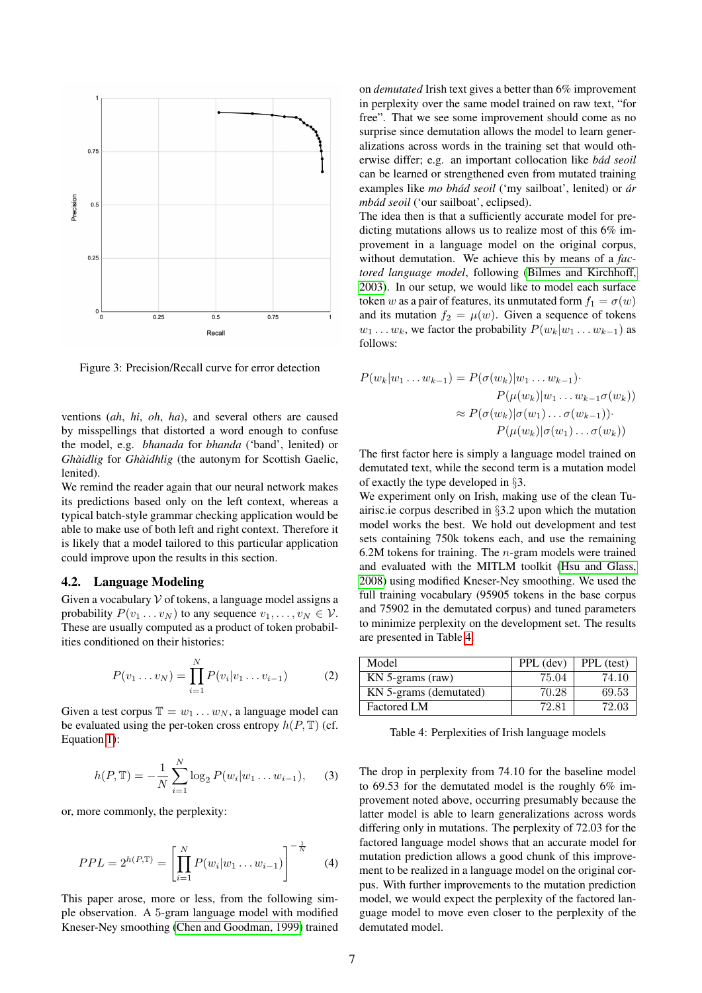

<span id="page-6-1"></span>Figure 3: Precision/Recall curve for error detection

ventions (*ah*, *hi*, *oh*, *ha*), and several others are caused by misspellings that distorted a word enough to confuse the model, e.g. *bhanada* for *bhanda* ('band', lenited) or *Ghàidlig* for *Ghàidhlig* (the autonym for Scottish Gaelic, lenited).

We remind the reader again that our neural network makes its predictions based only on the left context, whereas a typical batch-style grammar checking application would be able to make use of both left and right context. Therefore it is likely that a model tailored to this particular application could improve upon the results in this section.

#### <span id="page-6-0"></span>4.2. Language Modeling

Given a vocabulary  $V$  of tokens, a language model assigns a probability  $P(v_1 \dots v_N)$  to any sequence  $v_1, \dots, v_N \in V$ . These are usually computed as a product of token probabilities conditioned on their histories:

$$
P(v_1 \dots v_N) = \prod_{i=1}^{N} P(v_i | v_1 \dots v_{i-1})
$$
 (2)

Given a test corpus  $\mathbb{T} = w_1 \dots w_N$ , a language model can be evaluated using the per-token cross entropy  $h(P, T)$  (cf. Equation [1\)](#page-2-0):

$$
h(P, \mathbb{T}) = -\frac{1}{N} \sum_{i=1}^{N} \log_2 P(w_i | w_1 \dots w_{i-1}), \quad (3)
$$

or, more commonly, the perplexity:

$$
PPL = 2^{h(P,\mathbb{T})} = \left[ \prod_{i=1}^{N} P(w_i | w_1 \dots w_{i-1}) \right]^{-\frac{1}{N}} \tag{4}
$$

This paper arose, more or less, from the following simple observation. A 5-gram language model with modified Kneser-Ney smoothing [\(Chen and Goodman, 1999\)](#page-7-8) trained on *demutated* Irish text gives a better than 6% improvement in perplexity over the same model trained on raw text, "for free". That we see some improvement should come as no surprise since demutation allows the model to learn generalizations across words in the training set that would otherwise differ; e.g. an important collocation like *bad seoil ´* can be learned or strengthened even from mutated training examples like *mo bhád seoil* ('my sailboat', lenited) or *ár mbád seoil* ('our sailboat', eclipsed).

The idea then is that a sufficiently accurate model for predicting mutations allows us to realize most of this 6% improvement in a language model on the original corpus, without demutation. We achieve this by means of a *factored language model*, following [\(Bilmes and Kirchhoff,](#page-7-2) [2003\)](#page-7-2). In our setup, we would like to model each surface token w as a pair of features, its unmutated form  $f_1 = \sigma(w)$ and its mutation  $f_2 = \mu(w)$ . Given a sequence of tokens  $w_1 \dots w_k$ , we factor the probability  $P(w_k|w_1 \dots w_{k-1})$  as follows:

$$
P(w_k|w_1 \dots w_{k-1}) = P(\sigma(w_k)|w_1 \dots w_{k-1})\cdot
$$

$$
P(\mu(w_k)|w_1 \dots w_{k-1}\sigma(w_k))
$$

$$
\approx P(\sigma(w_k)|\sigma(w_1) \dots \sigma(w_{k-1}))\cdot
$$

$$
P(\mu(w_k)|\sigma(w_1) \dots \sigma(w_k))
$$

The first factor here is simply a language model trained on demutated text, while the second term is a mutation model of exactly the type developed in §3.

We experiment only on Irish, making use of the clean Tuairisc.ie corpus described in §3.2 upon which the mutation model works the best. We hold out development and test sets containing 750k tokens each, and use the remaining 6.2M tokens for training. The n-gram models were trained and evaluated with the MITLM toolkit [\(Hsu and Glass,](#page-7-9) [2008\)](#page-7-9) using modified Kneser-Ney smoothing. We used the full training vocabulary (95905 tokens in the base corpus and 75902 in the demutated corpus) and tuned parameters to minimize perplexity on the development set. The results are presented in Table [4.](#page-6-2)

| Model                  | PPL (dev) | PPL (test) |
|------------------------|-----------|------------|
| $KN$ 5-grams (raw)     | 75.04     | 74.10      |
| KN 5-grams (demutated) | 70.28     | 69.53      |
| <b>Factored LM</b>     | 72.81     | 72.03      |

<span id="page-6-2"></span>Table 4: Perplexities of Irish language models

The drop in perplexity from 74.10 for the baseline model to 69.53 for the demutated model is the roughly 6% improvement noted above, occurring presumably because the latter model is able to learn generalizations across words differing only in mutations. The perplexity of 72.03 for the factored language model shows that an accurate model for mutation prediction allows a good chunk of this improvement to be realized in a language model on the original corpus. With further improvements to the mutation prediction model, we would expect the perplexity of the factored language model to move even closer to the perplexity of the demutated model.